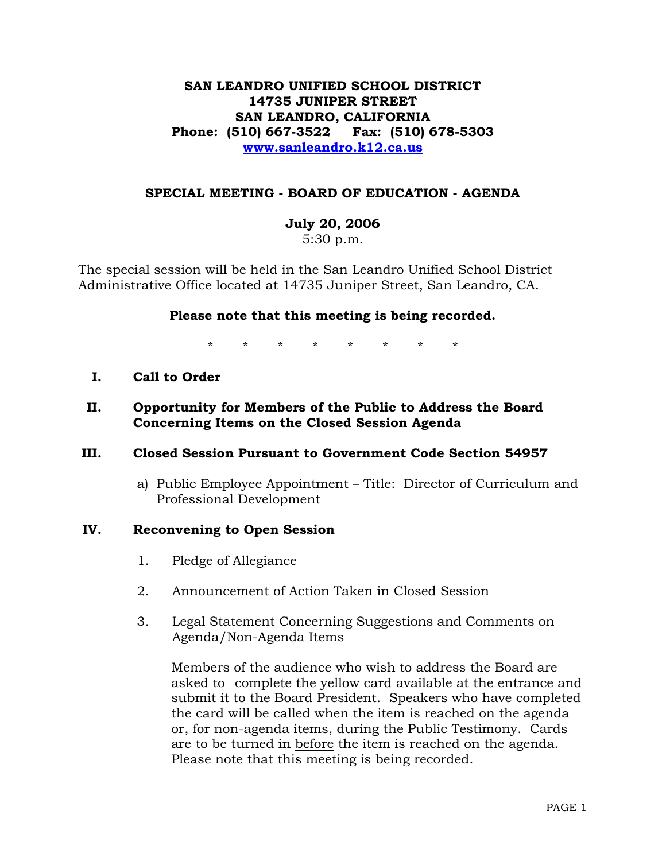# **SAN LEANDRO UNIFIED SCHOOL DISTRICT 14735 JUNIPER STREET SAN LEANDRO, CALIFORNIA Phone: (510) 667-3522 Fax: (510) 678-5303 www.sanleandro.k12.ca.us**

## **SPECIAL MEETING - BOARD OF EDUCATION - AGENDA**

## **July 20, 2006**

5:30 p.m.

The special session will be held in the San Leandro Unified School District Administrative Office located at 14735 Juniper Street, San Leandro, CA.

## **Please note that this meeting is being recorded.**

\* \* \* \* \* \* \* \*

- **I. Call to Order**
- **II. Opportunity for Members of the Public to Address the Board Concerning Items on the Closed Session Agenda**

### **III. Closed Session Pursuant to Government Code Section 54957**

a) Public Employee Appointment – Title: Director of Curriculum and Professional Development

### **IV. Reconvening to Open Session**

- 1. Pledge of Allegiance
- 2. Announcement of Action Taken in Closed Session
- 3. Legal Statement Concerning Suggestions and Comments on Agenda/Non-Agenda Items

 Members of the audience who wish to address the Board are asked to complete the yellow card available at the entrance and submit it to the Board President. Speakers who have completed the card will be called when the item is reached on the agenda or, for non-agenda items, during the Public Testimony. Cards are to be turned in before the item is reached on the agenda. Please note that this meeting is being recorded.